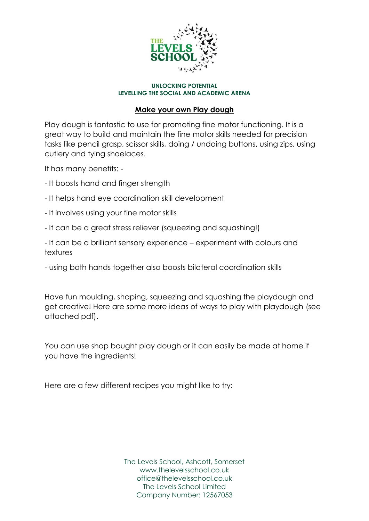

### **Make your own Play dough**

Play dough is fantastic to use for promoting fine motor functioning. It is a great way to build and maintain the fine motor skills needed for precision tasks like pencil grasp, scissor skills, doing / undoing buttons, using zips, using cutlery and tying shoelaces.

It has many benefits: -

- It boosts hand and finger strength
- It helps hand eye coordination skill development
- It involves using your fine motor skills
- It can be a great stress reliever (squeezing and squashing!)

- It can be a brilliant sensory experience – experiment with colours and textures

- using both hands together also boosts bilateral coordination skills

Have fun moulding, shaping, squeezing and squashing the playdough and get creative! Here are some more ideas of ways to play with playdough (see attached pdf).

You can use shop bought play dough or it can easily be made at home if you have the ingredients!

Here are a few different recipes you might like to try: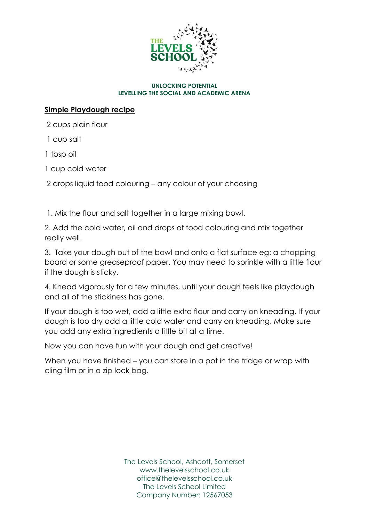

# **Simple Playdough recipe**

2 cups plain flour

1 cup salt

1 tbsp oil

1 cup cold water

2 drops liquid food colouring – any colour of your choosing

1. Mix the flour and salt together in a large mixing bowl.

2. Add the cold water, oil and drops of food colouring and mix together really well.

3. Take your dough out of the bowl and onto a flat surface eg: a chopping board or some greaseproof paper. You may need to sprinkle with a little flour if the dough is sticky.

4. Knead vigorously for a few minutes, until your dough feels like playdough and all of the stickiness has gone.

If your dough is too wet, add a little extra flour and carry on kneading. If your dough is too dry add a little cold water and carry on kneading. Make sure you add any extra ingredients a little bit at a time.

Now you can have fun with your dough and get creative!

When you have finished – you can store in a pot in the fridge or wrap with cling film or in a zip lock bag.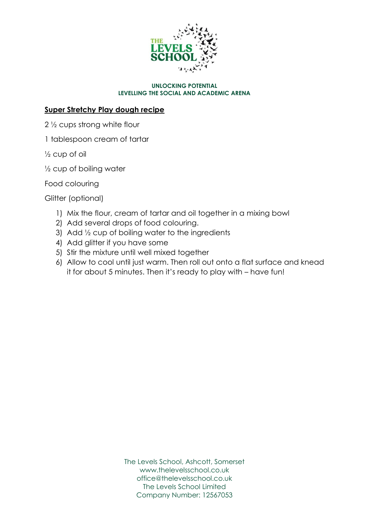

## **Super Stretchy Play dough recipe**

2 ½ cups strong white flour

1 tablespoon cream of tartar

½ cup of oil

½ cup of boiling water

Food colouring

Glitter (optional)

- 1) Mix the flour, cream of tartar and oil together in a mixing bowl
- 2) Add several drops of food colouring.
- 3) Add ½ cup of boiling water to the ingredients
- 4) Add glitter if you have some
- 5) Stir the mixture until well mixed together
- 6) Allow to cool until just warm. Then roll out onto a flat surface and knead it for about 5 minutes. Then it's ready to play with – have fun!